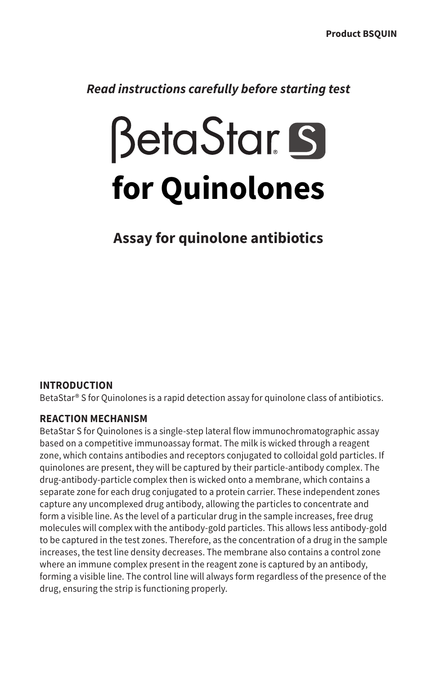*Read instructions carefully before starting test*

# **BetaStar S for Quinolones**

# **Assay for quinolone antibiotics**

### **INTRODUCTION**

BetaStar® S for Quinolones is a rapid detection assay for quinolone class of antibiotics.

#### **REACTION MECHANISM**

BetaStar S for Quinolones is a single-step lateral flow immunochromatographic assay based on a competitive immunoassay format. The milk is wicked through a reagent zone, which contains antibodies and receptors conjugated to colloidal gold particles. If quinolones are present, they will be captured by their particle-antibody complex. The drug-antibody-particle complex then is wicked onto a membrane, which contains a separate zone for each drug conjugated to a protein carrier. These independent zones capture any uncomplexed drug antibody, allowing the particles to concentrate and form a visible line. As the level of a particular drug in the sample increases, free drug molecules will complex with the antibody-gold particles. This allows less antibody-gold to be captured in the test zones. Therefore, as the concentration of a drug in the sample increases, the test line density decreases. The membrane also contains a control zone where an immune complex present in the reagent zone is captured by an antibody, forming a visible line. The control line will always form regardless of the presence of the drug, ensuring the strip is functioning properly.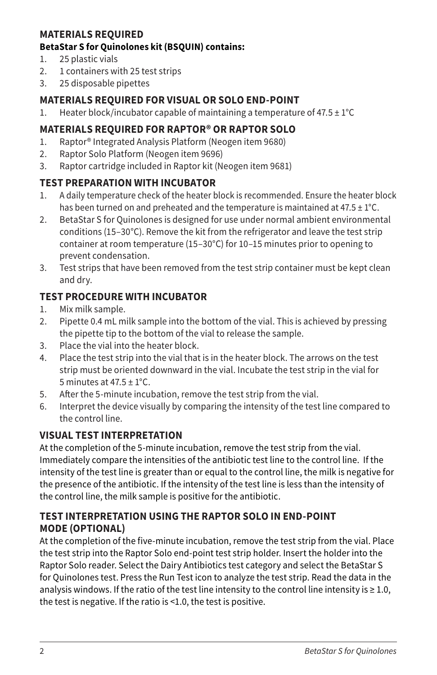## **MATERIALS REQUIRED**

#### **BetaStar S for Quinolones kit (BSQUIN) contains:**

- 1. 25 plastic vials
- 2. 1 containers with 25 test strips
- 3. 25 disposable pipettes

## **MATERIALS REQUIRED FOR VISUAL OR SOLO END-POINT**

1. Heater block/incubator capable of maintaining a temperature of  $47.5 \pm 1^{\circ}C$ 

# **MATERIALS REQUIRED FOR RAPTOR® OR RAPTOR SOLO**

- 1. Raptor® Integrated Analysis Platform (Neogen item 9680)
- 2. Raptor Solo Platform (Neogen item 9696)
- 3. Raptor cartridge included in Raptor kit (Neogen item 9681)

# **TEST PREPARATION WITH INCUBATOR**

- 1. A daily temperature check of the heater block is recommended. Ensure the heater block has been turned on and preheated and the temperature is maintained at  $47.5 \pm 1^{\circ}$ C.
- 2. BetaStar S for Quinolones is designed for use under normal ambient environmental conditions (15–30°C). Remove the kit from the refrigerator and leave the test strip container at room temperature (15–30°C) for 10–15 minutes prior to opening to prevent condensation.
- 3. Test strips that have been removed from the test strip container must be kept clean and dry.

# **TEST PROCEDURE WITH INCUBATOR**

- 1. Mix milk sample.
- 2. Pipette 0.4 mL milk sample into the bottom of the vial. This is achieved by pressing the pipette tip to the bottom of the vial to release the sample.
- 3. Place the vial into the heater block.
- 4. Place the test strip into the vial that is in the heater block. The arrows on the test strip must be oriented downward in the vial. Incubate the test strip in the vial for 5 minutes at  $47.5 \pm 1^{\circ}$ C.
- 5. After the 5-minute incubation, remove the test strip from the vial.
- 6. Interpret the device visually by comparing the intensity of the test line compared to the control line.

# **VISUAL TEST INTERPRETATION**

At the completion of the 5-minute incubation, remove the test strip from the vial. Immediately compare the intensities of the antibiotic test line to the control line. If the intensity of the test line is greater than or equal to the control line, the milk is negative for the presence of the antibiotic. If the intensity of the test line is less than the intensity of the control line, the milk sample is positive for the antibiotic.

## **TEST INTERPRETATION USING THE RAPTOR SOLO IN END-POINT MODE (OPTIONAL)**

At the completion of the five-minute incubation, remove the test strip from the vial. Place the test strip into the Raptor Solo end-point test strip holder. Insert the holder into the Raptor Solo reader. Select the Dairy Antibiotics test category and select the BetaStar S for Quinolones test. Press the Run Test icon to analyze the test strip. Read the data in the analysis windows. If the ratio of the test line intensity to the control line intensity is  $\geq 1.0$ , the test is negative. If the ratio is <1.0, the test is positive.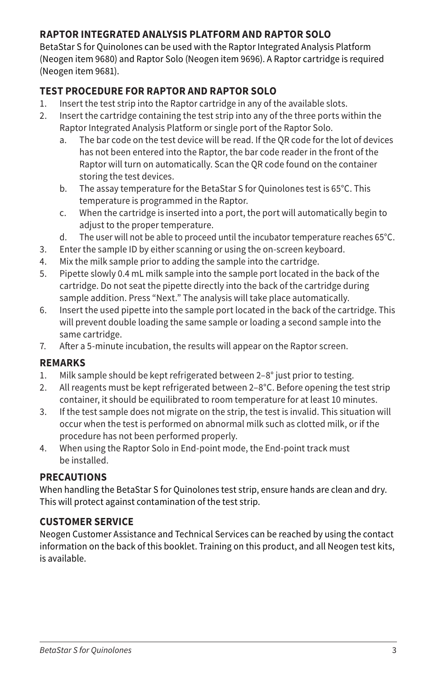# **RAPTOR INTEGRATED ANALYSIS PLATFORM AND RAPTOR SOLO**

BetaStar S for Quinolones can be used with the Raptor Integrated Analysis Platform (Neogen item 9680) and Raptor Solo (Neogen item 9696). A Raptor cartridge is required (Neogen item 9681).

# **TEST PROCEDURE FOR RAPTOR AND RAPTOR SOLO**

- 1. Insert the test strip into the Raptor cartridge in any of the available slots.
- 2. Insert the cartridge containing the test strip into any of the three ports within the Raptor Integrated Analysis Platform or single port of the Raptor Solo.
	- a. The bar code on the test device will be read. If the QR code for the lot of devices has not been entered into the Raptor, the bar code reader in the front of the Raptor will turn on automatically. Scan the QR code found on the container storing the test devices.
	- b. The assay temperature for the BetaStar S for Quinolones test is 65°C. This temperature is programmed in the Raptor.
	- c. When the cartridge is inserted into a port, the port will automatically begin to adjust to the proper temperature.
	- d. The user will not be able to proceed until the incubator temperature reaches 65°C.
- 3. Enter the sample ID by either scanning or using the on-screen keyboard.
- 4. Mix the milk sample prior to adding the sample into the cartridge.
- 5. Pipette slowly 0.4 mL milk sample into the sample port located in the back of the cartridge. Do not seat the pipette directly into the back of the cartridge during sample addition. Press "Next." The analysis will take place automatically.
- 6. Insert the used pipette into the sample port located in the back of the cartridge. This will prevent double loading the same sample or loading a second sample into the same cartridge.
- 7. After a 5-minute incubation, the results will appear on the Raptor screen.

### **REMARKS**

- 1. Milk sample should be kept refrigerated between 2–8° just prior to testing.
- 2. All reagents must be kept refrigerated between 2–8°C. Before opening the test strip container, it should be equilibrated to room temperature for at least 10 minutes.
- 3. If the test sample does not migrate on the strip, the test is invalid. This situation will occur when the test is performed on abnormal milk such as clotted milk, or if the procedure has not been performed properly.
- 4. When using the Raptor Solo in End-point mode, the End-point track must be installed.

# **PRECAUTIONS**

When handling the BetaStar S for Quinolones test strip, ensure hands are clean and dry. This will protect against contamination of the test strip.

# **CUSTOMER SERVICE**

Neogen Customer Assistance and Technical Services can be reached by using the contact information on the back of this booklet. Training on this product, and all Neogen test kits, is available.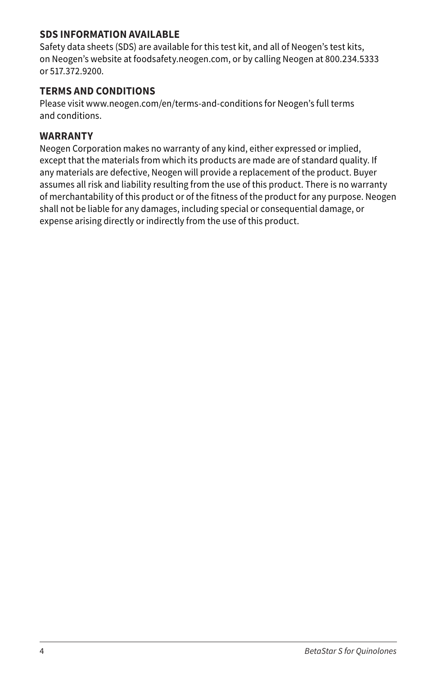### **SDS INFORMATION AVAILABLE**

Safety data sheets (SDS) are available for this test kit, and all of Neogen's test kits, on Neogen's website at foodsafety.neogen.com, or by calling Neogen at 800.234.5333 or 517.372.9200.

## **TERMS AND CONDITIONS**

Please visit www.neogen.com/en/terms-and-conditions for Neogen's full terms and conditions.

#### **WARRANTY**

Neogen Corporation makes no warranty of any kind, either expressed or implied, except that the materials from which its products are made are of standard quality. If any materials are defective, Neogen will provide a replacement of the product. Buyer assumes all risk and liability resulting from the use of this product. There is no warranty of merchantability of this product or of the fitness of the product for any purpose. Neogen shall not be liable for any damages, including special or consequential damage, or expense arising directly or indirectly from the use of this product.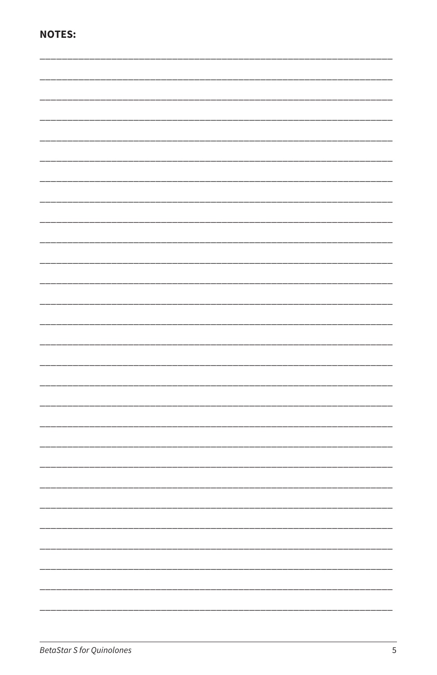|--|--|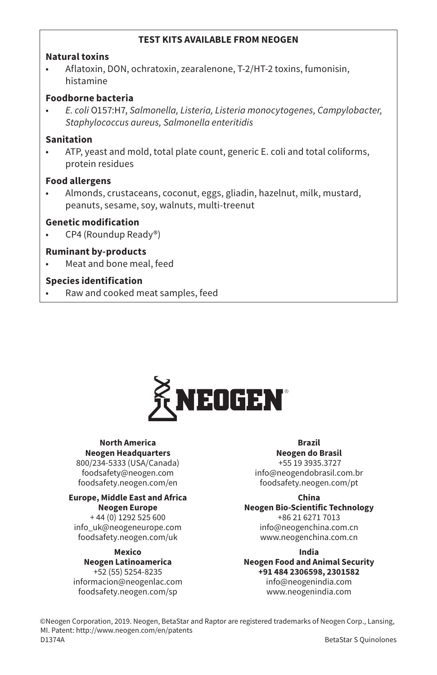#### **TEST KITS AVAILABLE FROM NEOGEN**

#### **Natural toxins**

• Aflatoxin, DON, ochratoxin, zearalenone, T-2/HT-2 toxins, fumonisin, histamine

#### **Foodborne bacteria**

• *E. coli* O157:H7, *Salmonella, Listeria, Listeria monocytogenes, Campylobacter, Staphylococcus aureus, Salmonella enteritidis*

#### **Sanitation**

• ATP, yeast and mold, total plate count, generic E. coli and total coliforms, protein residues

#### **Food allergens**

• Almonds, crustaceans, coconut, eggs, gliadin, hazelnut, milk, mustard, peanuts, sesame, soy, walnuts, multi-treenut

#### **Genetic modification**

• CP4 (Roundup Ready®)

#### **Ruminant by-products**

• Meat and bone meal, feed

#### **Species identification**

• Raw and cooked meat samples, feed



#### **North America Neogen Headquarters**

800/234-5333 (USA/Canada) foodsafety@neogen.com foodsafety.neogen.com/en

#### **Europe, Middle East and Africa Neogen Europe**

+ 44 (0) 1292 525 600 info\_uk@neogeneurope.com foodsafety.neogen.com/uk

### **Mexico**

**Neogen Latinoamerica** +52 (55) 5254-8235 informacion@neogenlac.com foodsafety.neogen.com/sp

#### **Brazil**

**Neogen do Brasil** +55 19 3935.3727 info@neogendobrasil.com.br foodsafety.neogen.com/pt

**China Neogen Bio-Scientific Technology** +86 21 6271 7013 info@neogenchina.com.cn www.neogenchina.com.cn

**India Neogen Food and Animal Security +91 484 2306598, 2301582** info@neogenindia.com www.neogenindia.com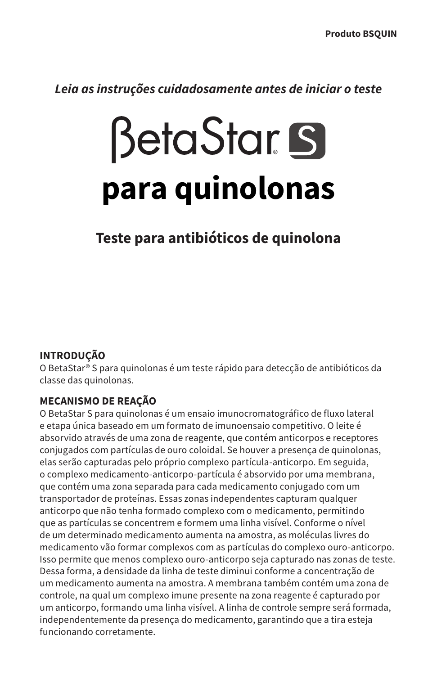*Leia as instruções cuidadosamente antes de iniciar o teste*

# **BetaStar S para quinolonas**

# **Teste para antibióticos de quinolona**

# **INTRODUÇÃO**

O BetaStar® S para quinolonas é um teste rápido para detecção de antibióticos da classe das quinolonas.

# **MECANISMO DE REAÇÃO**

O BetaStar S para quinolonas é um ensaio imunocromatográfico de fluxo lateral e etapa única baseado em um formato de imunoensaio competitivo. O leite é absorvido através de uma zona de reagente, que contém anticorpos e receptores conjugados com partículas de ouro coloidal. Se houver a presença de quinolonas, elas serão capturadas pelo próprio complexo partícula-anticorpo. Em seguida, o complexo medicamento-anticorpo-partícula é absorvido por uma membrana, que contém uma zona separada para cada medicamento conjugado com um transportador de proteínas. Essas zonas independentes capturam qualquer anticorpo que não tenha formado complexo com o medicamento, permitindo que as partículas se concentrem e formem uma linha visível. Conforme o nível de um determinado medicamento aumenta na amostra, as moléculas livres do medicamento vão formar complexos com as partículas do complexo ouro-anticorpo. Isso permite que menos complexo ouro-anticorpo seja capturado nas zonas de teste. Dessa forma, a densidade da linha de teste diminui conforme a concentração de um medicamento aumenta na amostra. A membrana também contém uma zona de controle, na qual um complexo imune presente na zona reagente é capturado por um anticorpo, formando uma linha visível. A linha de controle sempre será formada, independentemente da presença do medicamento, garantindo que a tira esteja funcionando corretamente.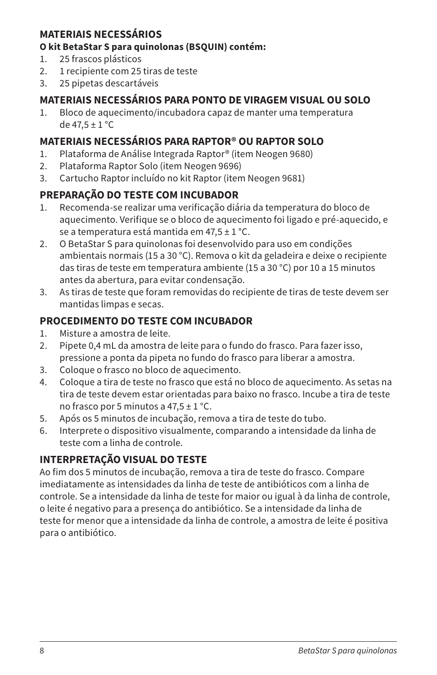# **MATERIAIS NECESSÁRIOS**

### **O kit BetaStar S para quinolonas (BSQUIN) contém:**

- 1. 25 frascos plásticos
- 2. 1 recipiente com 25 tiras de teste
- 3. 25 pipetas descartáveis

# **MATERIAIS NECESSÁRIOS PARA PONTO DE VIRAGEM VISUAL OU SOLO**

1. Bloco de aquecimento/incubadora capaz de manter uma temperatura de  $47.5 \pm 1$  °C

# **MATERIAIS NECESSÁRIOS PARA RAPTOR® OU RAPTOR SOLO**

- 1. Plataforma de Análise Integrada Raptor® (item Neogen 9680)
- 2. Plataforma Raptor Solo (item Neogen 9696)
- 3. Cartucho Raptor incluído no kit Raptor (item Neogen 9681)

# **PREPARAÇÃO DO TESTE COM INCUBADOR**

- 1. Recomenda-se realizar uma verificação diária da temperatura do bloco de aquecimento. Verifique se o bloco de aquecimento foi ligado e pré-aquecido, e se a temperatura está mantida em 47.5  $\pm$  1 °C.
- 2. O BetaStar S para quinolonas foi desenvolvido para uso em condições ambientais normais (15 a 30 °C). Remova o kit da geladeira e deixe o recipiente das tiras de teste em temperatura ambiente (15 a 30 °C) por 10 a 15 minutos antes da abertura, para evitar condensação.
- 3. As tiras de teste que foram removidas do recipiente de tiras de teste devem ser mantidas limpas e secas.

# **PROCEDIMENTO DO TESTE COM INCUBADOR**

- 1. Misture a amostra de leite.
- 2. Pipete 0,4 mL da amostra de leite para o fundo do frasco. Para fazer isso, pressione a ponta da pipeta no fundo do frasco para liberar a amostra.
- 3. Coloque o frasco no bloco de aquecimento.
- 4. Coloque a tira de teste no frasco que está no bloco de aquecimento. As setas na tira de teste devem estar orientadas para baixo no frasco. Incube a tira de teste no frasco por 5 minutos a  $47.5 \pm 1$  °C.
- 5. Após os 5 minutos de incubação, remova a tira de teste do tubo.
- 6. Interprete o dispositivo visualmente, comparando a intensidade da linha de teste com a linha de controle.

# **INTERPRETAÇÃO VISUAL DO TESTE**

Ao fim dos 5 minutos de incubação, remova a tira de teste do frasco. Compare imediatamente as intensidades da linha de teste de antibióticos com a linha de controle. Se a intensidade da linha de teste for maior ou igual à da linha de controle, o leite é negativo para a presença do antibiótico. Se a intensidade da linha de teste for menor que a intensidade da linha de controle, a amostra de leite é positiva para o antibiótico.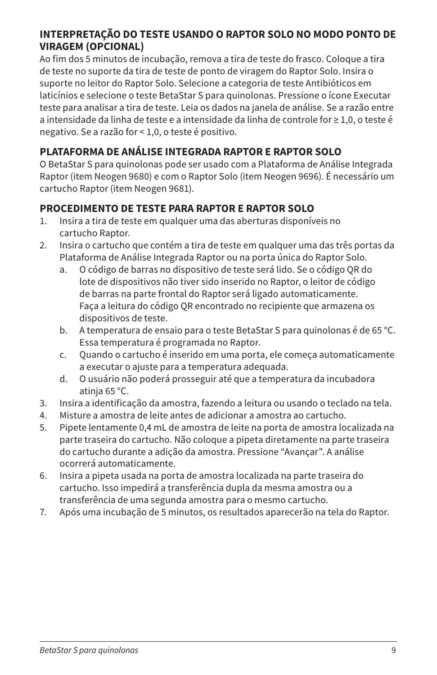# **INTERPRETAÇÃO DO TESTE USANDO O RAPTOR SOLO NO MODO PONTO DE VIRAGEM (OPCIONAL)**

Ao fim dos 5 minutos de incubação, remova a tira de teste do frasco. Coloque a tira de teste no suporte da tira de teste de ponto de viragem do Raptor Solo. Insira o suporte no leitor do Raptor Solo. Selecione a categoria de teste Antibióticos em laticínios e selecione o teste BetaStar S para quinolonas. Pressione o ícone Executar teste para analisar a tira de teste. Leia os dados na janela de análise. Se a razão entre a intensidade da linha de teste e a intensidade da linha de controle for ≥ 1,0, o teste é negativo. Se a razão for < 1,0, o teste é positivo.

# **PLATAFORMA DE ANÁLISE INTEGRADA RAPTOR E RAPTOR SOLO**

O BetaStar S para quinolonas pode ser usado com a Plataforma de Análise Integrada Raptor (item Neogen 9680) e com o Raptor Solo (item Neogen 9696). É necessário um cartucho Raptor (item Neogen 9681).

# **PROCEDIMENTO DE TESTE PARA RAPTOR E RAPTOR SOLO**

- 1. Insira a tira de teste em qualquer uma das aberturas disponíveis no cartucho Raptor.
- 2. Insira o cartucho que contém a tira de teste em qualquer uma das três portas da Plataforma de Análise Integrada Raptor ou na porta única do Raptor Solo.
	- a. O código de barras no dispositivo de teste será lido. Se o código QR do lote de dispositivos não tiver sido inserido no Raptor, o leitor de código de barras na parte frontal do Raptor será ligado automaticamente. Faça a leitura do código QR encontrado no recipiente que armazena os dispositivos de teste.
	- b. A temperatura de ensaio para o teste BetaStar S para quinolonas é de 65 °C. Essa temperatura é programada no Raptor.
	- c. Quando o cartucho é inserido em uma porta, ele começa automaticamente a executar o ajuste para a temperatura adequada.
	- d. O usuário não poderá prosseguir até que a temperatura da incubadora atinja 65 °C.
- 3. Insira a identificação da amostra, fazendo a leitura ou usando o teclado na tela.
- 4. Misture a amostra de leite antes de adicionar a amostra ao cartucho.
- 5. Pipete lentamente 0,4 mL de amostra de leite na porta de amostra localizada na parte traseira do cartucho. Não coloque a pipeta diretamente na parte traseira do cartucho durante a adição da amostra. Pressione "Avançar". A análise ocorrerá automaticamente.
- 6. Insira a pipeta usada na porta de amostra localizada na parte traseira do cartucho. Isso impedirá a transferência dupla da mesma amostra ou a transferência de uma segunda amostra para o mesmo cartucho.
- 7. Após uma incubação de 5 minutos, os resultados aparecerão na tela do Raptor.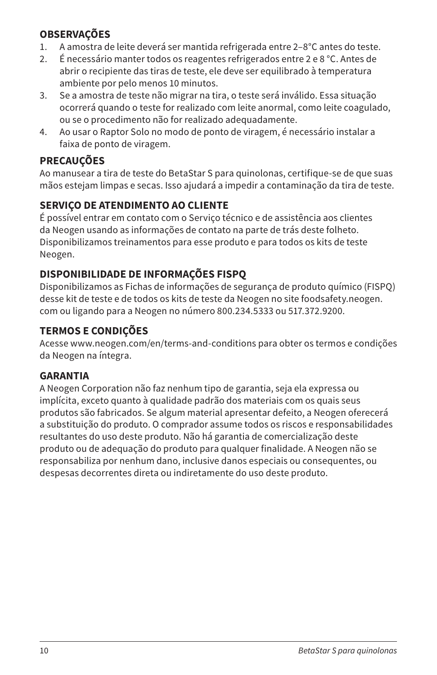# **OBSERVAÇÕES**

- 1. A amostra de leite deverá ser mantida refrigerada entre 2–8°C antes do teste.
- 2. É necessário manter todos os reagentes refrigerados entre 2 e 8 °C. Antes de abrir o recipiente das tiras de teste, ele deve ser equilibrado à temperatura ambiente por pelo menos 10 minutos.
- 3. Se a amostra de teste não migrar na tira, o teste será inválido. Essa situação ocorrerá quando o teste for realizado com leite anormal, como leite coagulado, ou se o procedimento não for realizado adequadamente.
- 4. Ao usar o Raptor Solo no modo de ponto de viragem, é necessário instalar a faixa de ponto de viragem.

# **PRECAUÇÕES**

Ao manusear a tira de teste do BetaStar S para quinolonas, certifique-se de que suas mãos estejam limpas e secas. Isso ajudará a impedir a contaminação da tira de teste.

# **SERVIÇO DE ATENDIMENTO AO CLIENTE**

É possível entrar em contato com o Serviço técnico e de assistência aos clientes da Neogen usando as informações de contato na parte de trás deste folheto. Disponibilizamos treinamentos para esse produto e para todos os kits de teste Neogen.

# **DISPONIBILIDADE DE INFORMAÇÕES FISPQ**

Disponibilizamos as Fichas de informações de segurança de produto químico (FISPQ) desse kit de teste e de todos os kits de teste da Neogen no site foodsafety.neogen. com ou ligando para a Neogen no número 800.234.5333 ou 517.372.9200.

# **TERMOS E CONDIÇÕES**

Acesse www.neogen.com/en/terms-and-conditions para obter os termos e condições da Neogen na íntegra.

# **GARANTIA**

A Neogen Corporation não faz nenhum tipo de garantia, seja ela expressa ou implícita, exceto quanto à qualidade padrão dos materiais com os quais seus produtos são fabricados. Se algum material apresentar defeito, a Neogen oferecerá a substituição do produto. O comprador assume todos os riscos e responsabilidades resultantes do uso deste produto. Não há garantia de comercialização deste produto ou de adequação do produto para qualquer finalidade. A Neogen não se responsabiliza por nenhum dano, inclusive danos especiais ou consequentes, ou despesas decorrentes direta ou indiretamente do uso deste produto.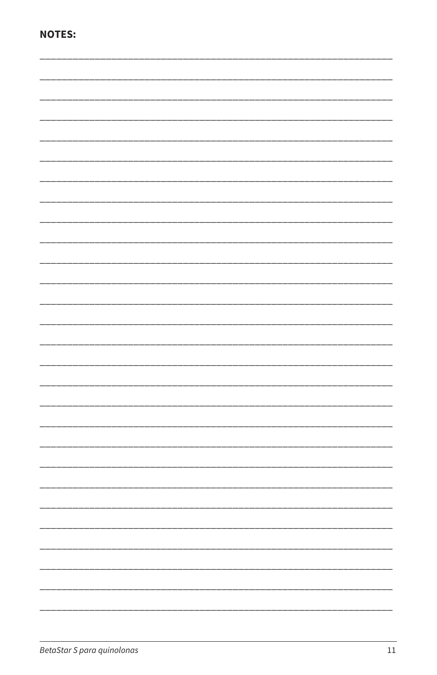|--|--|